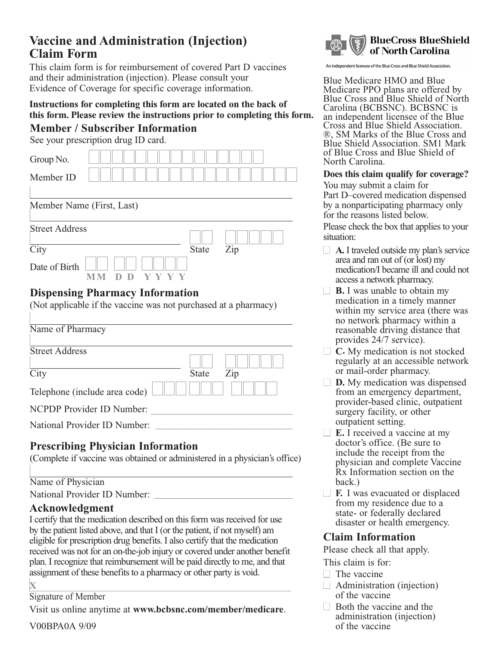# **Vaccine and Administration (Injection) Claim Form**

This claim form is for reimbursement of covered Part D vaccines and their administration (injection). Please consult your Evidence of Coverage for specific coverage information.

## **Instructions for completing this form are located on the back of this form. Please review the instructions prior to completing this form.**

### **Member / Subscriber Information**

See your prescription drug ID card.

| Group No.                                                                                                 |            |  |      |  |              |                |  |  |  |  |
|-----------------------------------------------------------------------------------------------------------|------------|--|------|--|--------------|----------------|--|--|--|--|
| Member ID                                                                                                 |            |  |      |  |              |                |  |  |  |  |
| Member Name (First, Last)                                                                                 |            |  |      |  |              |                |  |  |  |  |
| <b>Street Address</b>                                                                                     |            |  |      |  |              |                |  |  |  |  |
| City                                                                                                      |            |  |      |  | <b>State</b> | $\mathsf{Zip}$ |  |  |  |  |
| Date of Birth                                                                                             | D D<br>M M |  | YYYY |  |              |                |  |  |  |  |
| <b>Dispensing Pharmacy Information</b><br>(Not applicable if the vaccine was not purchased at a pharmacy) |            |  |      |  |              |                |  |  |  |  |

| Name of Pharmacy              |              |     |
|-------------------------------|--------------|-----|
| <b>Street Address</b>         |              |     |
| City                          | <b>State</b> | Zip |
| Telephone (include area code) |              |     |
| NCPDP Provider ID Number:     |              |     |
| National Provider ID Number:  |              |     |

## **Prescribing Physician Information**

(Complete if vaccine was obtained or administered in a ph ysician's office)

#### Name of Physician

vider ID Number: National Pro \_\_\_\_\_\_\_\_\_\_\_\_\_\_\_\_\_\_\_\_\_\_\_\_\_\_

### **Acknowledgment**

I certify that the medication described on this form was received for use by the patient listed above, and that I (or the patient, if not myself) am eligible for prescription drug benefits. I also certify that the medication received was not for an on-the-job injury or covered under another benefit plan. I recognize that reimbursement will be paid directly to me, and that assignment of these benefits to a pharmacy or other party is void.

**X**

#### Signature of Member

Visit us online anytime at **www.bcbsnc.com/member/medicare**.

V00BPA0A 9/09



An independent licensee of the Blue Cross and Blue Shield Association.

Blue Medicare HMO and Blue Medicare PPO plans are offered by Blue Cross and Blue Shield of North Carolina (BCBSNC). BCBSNC is an independent licensee of the Blue Cross and Blue Shield Association. ®, SM Marks of the Blue Cross and Blue Shield Association. SM1 Mark of Blue Cross and Blue Shield of North Carolina.

#### **Does this claim qualify for coverage?**

You may submit a claim for Part D–covered medication dispensed by a nonparticipating pharmacy only for the reasons listed below.

Please check the box that applies to your situation:

- □ **A.** I traveled outside my plan's service area and ran out of (or lost) my medication/I became ill and could not access a network pharmacy.
- □ **B.** I was unable to obtain my medication in a timely manner within my service area (there was no network pharmacy within a reasonable driving distance that provides 24/7 service).
- □ **C.** My medication is not stocked regularly at an accessible network or mail-order pharmacy.
- **D.** My medication was dispensed from an emergency department, provider-based clinic, outpatient surgery facility, or other outpatient setting.
- **E.** I received a vaccine at my doctor's office. (Be sure to include the receipt from the physician and complete Vaccine Rx Information section on the back.)
- □ **F.** I was evacuated or displaced from my residence due to a state- or federally declared disaster or health emergency.

#### **Claim Information**

Please check all that apply.

- This claim is for:
- □ The vaccine
- $\Box$  Administration (injection) of the vaccine
- □ Both the vaccine and the administration (injection) of the vaccine